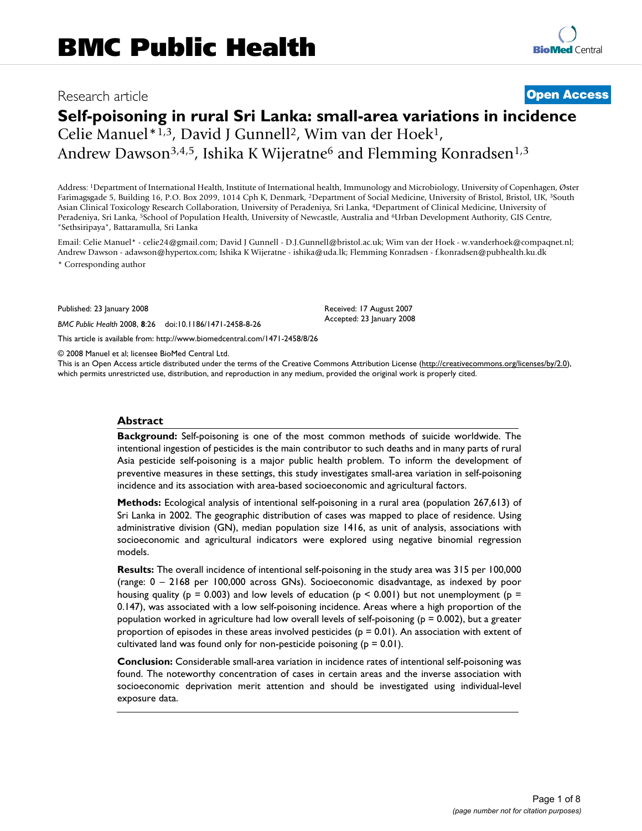# Research article **[Open Access](http://www.biomedcentral.com/info/about/charter/)**

# **Self-poisoning in rural Sri Lanka: small-area variations in incidence**

Celie Manuel\*1,3, David J Gunnell2, Wim van der Hoek1, Andrew Dawson<sup>3,4,5</sup>, Ishika K Wijeratne<sup>6</sup> and Flemming Konradsen<sup>1,3</sup>

Address: 1Department of International Health, Institute of International health, Immunology and Microbiology, University of Copenhagen, Øster Farimagsgade 5, Building 16, P.O. Box 2099, 1014 Cph K, Denmark, 2Department of Social Medicine, University of Bristol, Bristol, UK, 3South Asian Clinical Toxicology Research Collaboration, University of Peradeniya, Sri Lanka, 4Department of Clinical Medicine, University of Peradeniya, Sri Lanka, <sup>5</sup>School of Population Health, University of Newcastle, Australia and <sup>6</sup>Urban Development Authority, GIS Centre, "Sethsiripaya", Battaramulla, Sri Lanka

Email: Celie Manuel\* - celie24@gmail.com; David J Gunnell - D.J.Gunnell@bristol.ac.uk; Wim van der Hoek - w.vanderhoek@compaqnet.nl; Andrew Dawson - adawson@hypertox.com; Ishika K Wijeratne - ishika@uda.lk; Flemming Konradsen - f.konradsen@pubhealth.ku.dk \* Corresponding author

> Received: 17 August 2007 Accepted: 23 January 2008

Published: 23 January 2008

*BMC Public Health* 2008, **8**:26 doi:10.1186/1471-2458-8-26

[This article is available from: http://www.biomedcentral.com/1471-2458/8/26](http://www.biomedcentral.com/1471-2458/8/26)

© 2008 Manuel et al; licensee BioMed Central Ltd.

This is an Open Access article distributed under the terms of the Creative Commons Attribution License [\(http://creativecommons.org/licenses/by/2.0\)](http://creativecommons.org/licenses/by/2.0), which permits unrestricted use, distribution, and reproduction in any medium, provided the original work is properly cited.

#### **Abstract**

**Background:** Self-poisoning is one of the most common methods of suicide worldwide. The intentional ingestion of pesticides is the main contributor to such deaths and in many parts of rural Asia pesticide self-poisoning is a major public health problem. To inform the development of preventive measures in these settings, this study investigates small-area variation in self-poisoning incidence and its association with area-based socioeconomic and agricultural factors.

**Methods:** Ecological analysis of intentional self-poisoning in a rural area (population 267,613) of Sri Lanka in 2002. The geographic distribution of cases was mapped to place of residence. Using administrative division (GN), median population size 1416, as unit of analysis, associations with socioeconomic and agricultural indicators were explored using negative binomial regression models.

**Results:** The overall incidence of intentional self-poisoning in the study area was 315 per 100,000 (range: 0 – 2168 per 100,000 across GNs). Socioeconomic disadvantage, as indexed by poor housing quality ( $p = 0.003$ ) and low levels of education ( $p \le 0.001$ ) but not unemployment ( $p =$ 0.147), was associated with a low self-poisoning incidence. Areas where a high proportion of the population worked in agriculture had low overall levels of self-poisoning ( $p = 0.002$ ), but a greater proportion of episodes in these areas involved pesticides (p = 0.01). An association with extent of cultivated land was found only for non-pesticide poisoning ( $p = 0.01$ ).

**Conclusion:** Considerable small-area variation in incidence rates of intentional self-poisoning was found. The noteworthy concentration of cases in certain areas and the inverse association with socioeconomic deprivation merit attention and should be investigated using individual-level exposure data.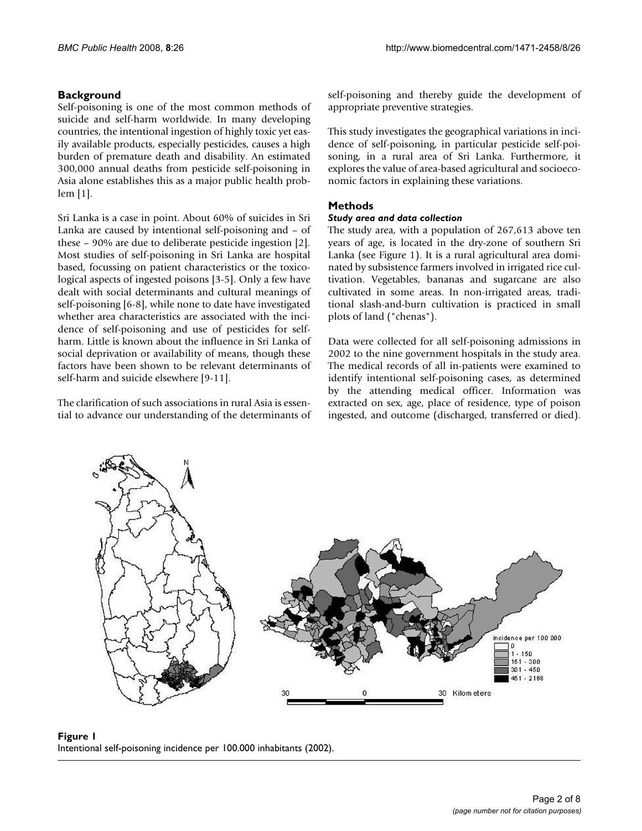## **Background**

Self-poisoning is one of the most common methods of suicide and self-harm worldwide. In many developing countries, the intentional ingestion of highly toxic yet easily available products, especially pesticides, causes a high burden of premature death and disability. An estimated 300,000 annual deaths from pesticide self-poisoning in Asia alone establishes this as a major public health problem [1].

Sri Lanka is a case in point. About 60% of suicides in Sri Lanka are caused by intentional self-poisoning and – of these – 90% are due to deliberate pesticide ingestion [2]. Most studies of self-poisoning in Sri Lanka are hospital based, focussing on patient characteristics or the toxicological aspects of ingested poisons [3-5]. Only a few have dealt with social determinants and cultural meanings of self-poisoning [6-8], while none to date have investigated whether area characteristics are associated with the incidence of self-poisoning and use of pesticides for selfharm. Little is known about the influence in Sri Lanka of social deprivation or availability of means, though these factors have been shown to be relevant determinants of self-harm and suicide elsewhere [9-11].

The clarification of such associations in rural Asia is essential to advance our understanding of the determinants of self-poisoning and thereby guide the development of appropriate preventive strategies.

This study investigates the geographical variations in incidence of self-poisoning, in particular pesticide self-poisoning, in a rural area of Sri Lanka. Furthermore, it explores the value of area-based agricultural and socioeconomic factors in explaining these variations.

## **Methods**

#### *Study area and data collection*

The study area, with a population of 267,613 above ten years of age, is located in the dry-zone of southern Sri Lanka (see Figure 1). It is a rural agricultural area dominated by subsistence farmers involved in irrigated rice cultivation. Vegetables, bananas and sugarcane are also cultivated in some areas. In non-irrigated areas, traditional slash-and-burn cultivation is practiced in small plots of land ("chenas").

Data were collected for all self-poisoning admissions in 2002 to the nine government hospitals in the study area. The medical records of all in-patients were examined to identify intentional self-poisoning cases, as determined by the attending medical officer. Information was extracted on sex, age, place of residence, type of poison ingested, and outcome (discharged, transferred or died).



**Figure 1** Intentional self-poisoning incidence per 100.000 inhabitants (2002).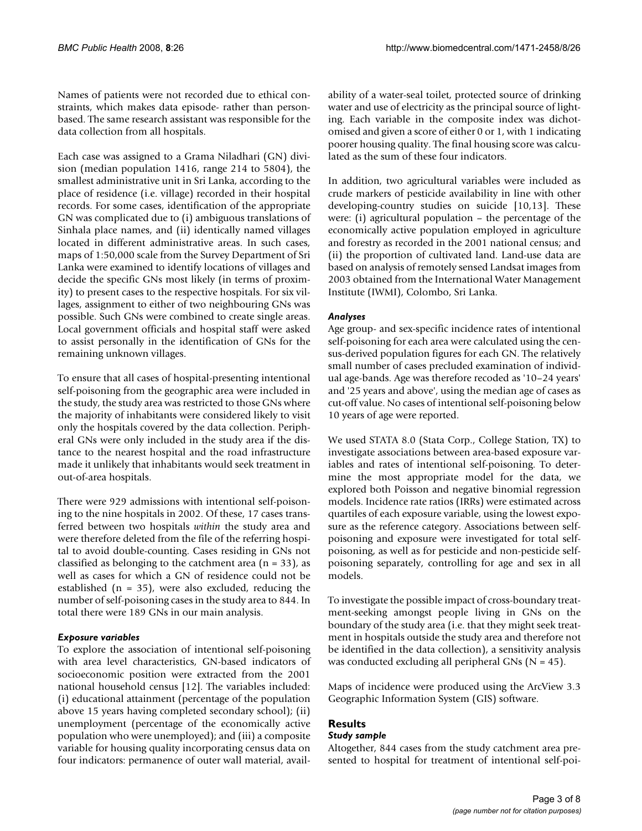Names of patients were not recorded due to ethical constraints, which makes data episode- rather than personbased. The same research assistant was responsible for the data collection from all hospitals.

Each case was assigned to a Grama Niladhari (GN) division (median population 1416, range 214 to 5804), the smallest administrative unit in Sri Lanka, according to the place of residence (i.e. village) recorded in their hospital records. For some cases, identification of the appropriate GN was complicated due to (i) ambiguous translations of Sinhala place names, and (ii) identically named villages located in different administrative areas. In such cases, maps of 1:50,000 scale from the Survey Department of Sri Lanka were examined to identify locations of villages and decide the specific GNs most likely (in terms of proximity) to present cases to the respective hospitals. For six villages, assignment to either of two neighbouring GNs was possible. Such GNs were combined to create single areas. Local government officials and hospital staff were asked to assist personally in the identification of GNs for the remaining unknown villages.

To ensure that all cases of hospital-presenting intentional self-poisoning from the geographic area were included in the study, the study area was restricted to those GNs where the majority of inhabitants were considered likely to visit only the hospitals covered by the data collection. Peripheral GNs were only included in the study area if the distance to the nearest hospital and the road infrastructure made it unlikely that inhabitants would seek treatment in out-of-area hospitals.

There were 929 admissions with intentional self-poisoning to the nine hospitals in 2002. Of these, 17 cases transferred between two hospitals *within* the study area and were therefore deleted from the file of the referring hospital to avoid double-counting. Cases residing in GNs not classified as belonging to the catchment area  $(n = 33)$ , as well as cases for which a GN of residence could not be established ( $n = 35$ ), were also excluded, reducing the number of self-poisoning cases in the study area to 844. In total there were 189 GNs in our main analysis.

#### *Exposure variables*

To explore the association of intentional self-poisoning with area level characteristics, GN-based indicators of socioeconomic position were extracted from the 2001 national household census [12]. The variables included: (i) educational attainment (percentage of the population above 15 years having completed secondary school); (ii) unemployment (percentage of the economically active population who were unemployed); and (iii) a composite variable for housing quality incorporating census data on four indicators: permanence of outer wall material, availability of a water-seal toilet, protected source of drinking water and use of electricity as the principal source of lighting. Each variable in the composite index was dichotomised and given a score of either 0 or 1, with 1 indicating poorer housing quality. The final housing score was calculated as the sum of these four indicators.

In addition, two agricultural variables were included as crude markers of pesticide availability in line with other developing-country studies on suicide [10,13]. These were: (i) agricultural population – the percentage of the economically active population employed in agriculture and forestry as recorded in the 2001 national census; and (ii) the proportion of cultivated land. Land-use data are based on analysis of remotely sensed Landsat images from 2003 obtained from the International Water Management Institute (IWMI), Colombo, Sri Lanka.

#### *Analyses*

Age group- and sex-specific incidence rates of intentional self-poisoning for each area were calculated using the census-derived population figures for each GN. The relatively small number of cases precluded examination of individual age-bands. Age was therefore recoded as '10–24 years' and '25 years and above', using the median age of cases as cut-off value. No cases of intentional self-poisoning below 10 years of age were reported.

We used STATA 8.0 (Stata Corp., College Station, TX) to investigate associations between area-based exposure variables and rates of intentional self-poisoning. To determine the most appropriate model for the data, we explored both Poisson and negative binomial regression models. Incidence rate ratios (IRRs) were estimated across quartiles of each exposure variable, using the lowest exposure as the reference category. Associations between selfpoisoning and exposure were investigated for total selfpoisoning, as well as for pesticide and non-pesticide selfpoisoning separately, controlling for age and sex in all models.

To investigate the possible impact of cross-boundary treatment-seeking amongst people living in GNs on the boundary of the study area (i.e. that they might seek treatment in hospitals outside the study area and therefore not be identified in the data collection), a sensitivity analysis was conducted excluding all peripheral GNs ( $N = 45$ ).

Maps of incidence were produced using the ArcView 3.3 Geographic Information System (GIS) software.

# **Results**

# *Study sample*

Altogether, 844 cases from the study catchment area presented to hospital for treatment of intentional self-poi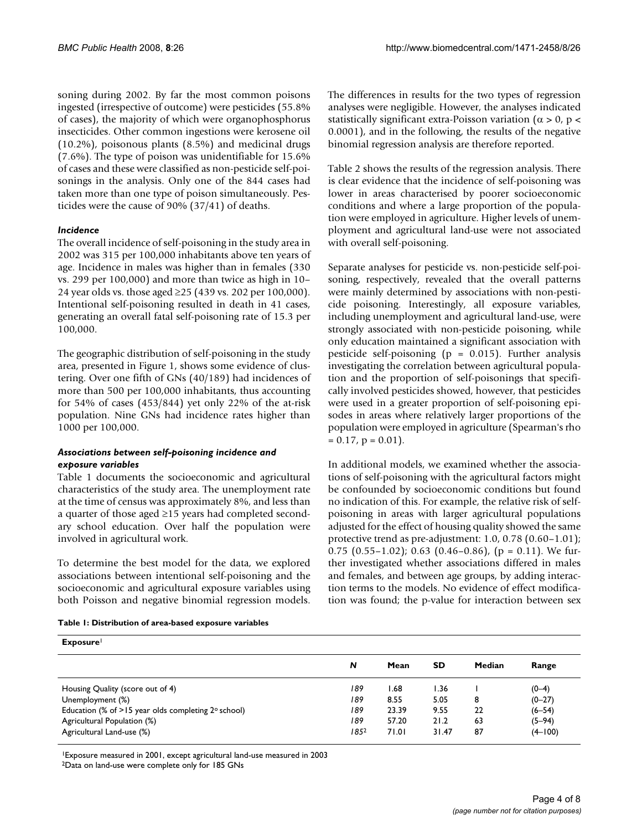soning during 2002. By far the most common poisons ingested (irrespective of outcome) were pesticides (55.8% of cases), the majority of which were organophosphorus insecticides. Other common ingestions were kerosene oil (10.2%), poisonous plants (8.5%) and medicinal drugs (7.6%). The type of poison was unidentifiable for 15.6% of cases and these were classified as non-pesticide self-poisonings in the analysis. Only one of the 844 cases had taken more than one type of poison simultaneously. Pesticides were the cause of 90% (37/41) of deaths.

#### *Incidence*

The overall incidence of self-poisoning in the study area in 2002 was 315 per 100,000 inhabitants above ten years of age. Incidence in males was higher than in females (330 vs. 299 per 100,000) and more than twice as high in 10– 24 year olds vs. those aged ≥25 (439 vs. 202 per 100,000). Intentional self-poisoning resulted in death in 41 cases, generating an overall fatal self-poisoning rate of 15.3 per 100,000.

The geographic distribution of self-poisoning in the study area, presented in Figure 1, shows some evidence of clustering. Over one fifth of GNs (40/189) had incidences of more than 500 per 100,000 inhabitants, thus accounting for 54% of cases  $(453/844)$  yet only 22% of the at-risk population. Nine GNs had incidence rates higher than 1000 per 100,000.

#### *Associations between self-poisoning incidence and exposure variables*

Table 1 documents the socioeconomic and agricultural characteristics of the study area. The unemployment rate at the time of census was approximately 8%, and less than a quarter of those aged ≥15 years had completed secondary school education. Over half the population were involved in agricultural work.

To determine the best model for the data, we explored associations between intentional self-poisoning and the socioeconomic and agricultural exposure variables using both Poisson and negative binomial regression models.

The differences in results for the two types of regression analyses were negligible. However, the analyses indicated statistically significant extra-Poisson variation ( $\alpha$  > 0, p < 0.0001), and in the following, the results of the negative binomial regression analysis are therefore reported.

Table 2 shows the results of the regression analysis. There is clear evidence that the incidence of self-poisoning was lower in areas characterised by poorer socioeconomic conditions and where a large proportion of the population were employed in agriculture. Higher levels of unemployment and agricultural land-use were not associated with overall self-poisoning.

Separate analyses for pesticide vs. non-pesticide self-poisoning, respectively, revealed that the overall patterns were mainly determined by associations with non-pesticide poisoning. Interestingly, all exposure variables, including unemployment and agricultural land-use, were strongly associated with non-pesticide poisoning, while only education maintained a significant association with pesticide self-poisoning ( $p = 0.015$ ). Further analysis investigating the correlation between agricultural population and the proportion of self-poisonings that specifically involved pesticides showed, however, that pesticides were used in a greater proportion of self-poisoning episodes in areas where relatively larger proportions of the population were employed in agriculture (Spearman's rho  $= 0.17$ ,  $p = 0.01$ ).

In additional models, we examined whether the associations of self-poisoning with the agricultural factors might be confounded by socioeconomic conditions but found no indication of this. For example, the relative risk of selfpoisoning in areas with larger agricultural populations adjusted for the effect of housing quality showed the same protective trend as pre-adjustment: 1.0, 0.78 (0.60–1.01); 0.75  $(0.55-1.02)$ ; 0.63  $(0.46-0.86)$ ,  $(p = 0.11)$ . We further investigated whether associations differed in males and females, and between age groups, by adding interaction terms to the models. No evidence of effect modification was found; the p-value for interaction between sex

|  |  | Table 1: Distribution of area-based exposure variables |  |  |
|--|--|--------------------------------------------------------|--|--|
|  |  |                                                        |  |  |

| <b>Exposure</b>                                                |      |       |           |        |             |  |  |  |  |
|----------------------------------------------------------------|------|-------|-----------|--------|-------------|--|--|--|--|
|                                                                | N    | Mean  | <b>SD</b> | Median | Range       |  |  |  |  |
| Housing Quality (score out of 4)                               | 189  | l.68  | 1.36      |        | $(0-4)$     |  |  |  |  |
| Unemployment (%)                                               | 189  | 8.55  | 5.05      | 8      | $(0-27)$    |  |  |  |  |
| Education (% of $>15$ year olds completing $2^{\circ}$ school) | 189  | 23.39 | 9.55      | 22     | $(6 - 54)$  |  |  |  |  |
| Agricultural Population (%)                                    | 189  | 57.20 | 21.2      | 63     | $(5-94)$    |  |  |  |  |
| Agricultural Land-use (%)                                      | 1852 | 71.01 | 31.47     | 87     | $(4 - 100)$ |  |  |  |  |

1Exposure measured in 2001, except agricultural land-use measured in 2003

2Data on land-use were complete only for 185 GNs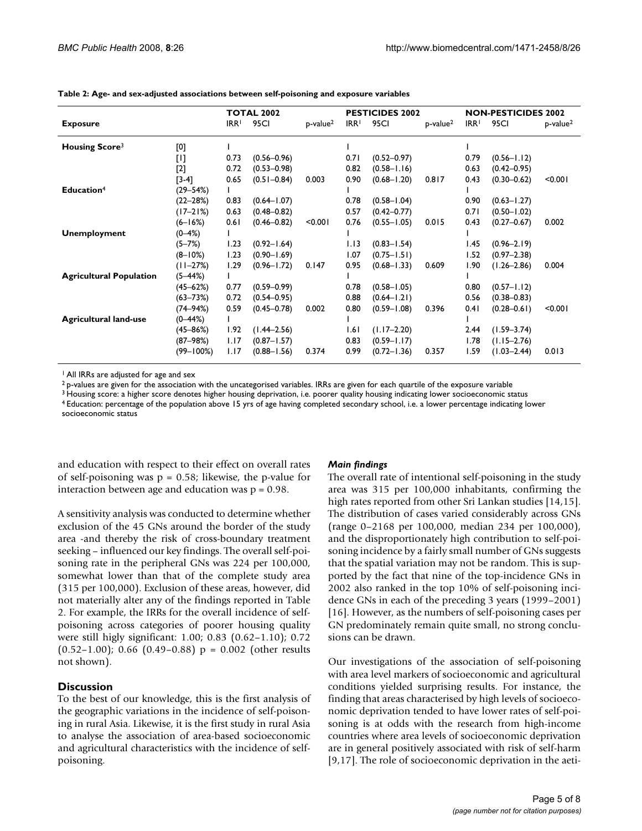|                                |                                                                                                                                                                                                                                                                                                                                                                                                                                                                                                                                                                                                                                                                                                                                                                                                                | <b>TOTAL 2002</b> |                 |                      | <b>PESTICIDES 2002</b> |                 |             | <b>NON-PESTICIDES 2002</b> |                 |                         |
|--------------------------------|----------------------------------------------------------------------------------------------------------------------------------------------------------------------------------------------------------------------------------------------------------------------------------------------------------------------------------------------------------------------------------------------------------------------------------------------------------------------------------------------------------------------------------------------------------------------------------------------------------------------------------------------------------------------------------------------------------------------------------------------------------------------------------------------------------------|-------------------|-----------------|----------------------|------------------------|-----------------|-------------|----------------------------|-----------------|-------------------------|
| <b>Exposure</b>                |                                                                                                                                                                                                                                                                                                                                                                                                                                                                                                                                                                                                                                                                                                                                                                                                                | IRR <sup>1</sup>  | 95CI            | p-value <sup>2</sup> | IRR <sup>1</sup>       | 95CI            | $p-value^2$ | IRR <sup>1</sup>           | 95CI            | $p$ -value <sup>2</sup> |
| <b>Housing Score3</b>          | [0]                                                                                                                                                                                                                                                                                                                                                                                                                                                                                                                                                                                                                                                                                                                                                                                                            |                   |                 |                      |                        |                 |             |                            |                 |                         |
|                                | $[1] % \centering \includegraphics[width=0.9\textwidth]{images/TrDiM-Architecture.png} % \caption{The first two different values of $S$ and $S$ are shown in the left (upper) and the right (lower) and the right (lower) and the right (lower) and the right (lower) and the right (lower) and the right (lower) and the right (lower) and the right (lower) and the right (lower) and the right (lower) and the right (lower) and the right (lower) and the right (lower) and the right (lower) and the right (lower) and the right (lower) and the right (lower) and the right (lower) and the right (lower) and the right (lower) and the right (lower) and the right (lower) and the right (lower) and the right (lower) and the right (lower) and the right (lower) and the right (lower) and the right$ | 0.73              | $(0.56 - 0.96)$ |                      | 0.71                   | $(0.52 - 0.97)$ |             | 0.79                       | $(0.56 - 1.12)$ |                         |
|                                | [2]                                                                                                                                                                                                                                                                                                                                                                                                                                                                                                                                                                                                                                                                                                                                                                                                            | 0.72              | $(0.53 - 0.98)$ |                      | 0.82                   | $(0.58 - 1.16)$ |             | 0.63                       | $(0.42 - 0.95)$ |                         |
|                                | $[3-4]$                                                                                                                                                                                                                                                                                                                                                                                                                                                                                                                                                                                                                                                                                                                                                                                                        | 0.65              | $(0.51 - 0.84)$ | 0.003                | 0.90                   | $(0.68 - 1.20)$ | 0.817       | 0.43                       | $(0.30 - 0.62)$ | < 0.001                 |
| Education <sup>4</sup>         | $(29 - 54%)$                                                                                                                                                                                                                                                                                                                                                                                                                                                                                                                                                                                                                                                                                                                                                                                                   |                   |                 |                      |                        |                 |             |                            |                 |                         |
|                                | $(22 - 28%)$                                                                                                                                                                                                                                                                                                                                                                                                                                                                                                                                                                                                                                                                                                                                                                                                   | 0.83              | $(0.64 - 1.07)$ |                      | 0.78                   | $(0.58 - 1.04)$ |             | 0.90                       | $(0.63 - 1.27)$ |                         |
|                                | $(17 - 21%)$                                                                                                                                                                                                                                                                                                                                                                                                                                                                                                                                                                                                                                                                                                                                                                                                   | 0.63              | $(0.48 - 0.82)$ |                      | 0.57                   | $(0.42 - 0.77)$ |             | 0.71                       | $(0.50 - 1.02)$ |                         |
|                                | $(6 - 16%)$                                                                                                                                                                                                                                                                                                                                                                                                                                                                                                                                                                                                                                                                                                                                                                                                    | 0.61              | $(0.46 - 0.82)$ | < 0.001              | 0.76                   | $(0.55 - 1.05)$ | 0.015       | 0.43                       | $(0.27 - 0.67)$ | 0.002                   |
| <b>Unemployment</b>            | $(0 - 4%)$                                                                                                                                                                                                                                                                                                                                                                                                                                                                                                                                                                                                                                                                                                                                                                                                     |                   |                 |                      |                        |                 |             |                            |                 |                         |
|                                | $(5 - 7%)$                                                                                                                                                                                                                                                                                                                                                                                                                                                                                                                                                                                                                                                                                                                                                                                                     | 1.23              | $(0.92 - 1.64)$ |                      | 1.13                   | $(0.83 - 1.54)$ |             | I.45                       | $(0.96 - 2.19)$ |                         |
|                                | $(8 - 10\%)$                                                                                                                                                                                                                                                                                                                                                                                                                                                                                                                                                                                                                                                                                                                                                                                                   | 1.23              | $(0.90 - 1.69)$ |                      | 1.07                   | $(0.75 - 1.51)$ |             | 1.52                       | $(0.97 - 2.38)$ |                         |
|                                | $(11 - 27%)$                                                                                                                                                                                                                                                                                                                                                                                                                                                                                                                                                                                                                                                                                                                                                                                                   | 1.29              | $(0.96 - 1.72)$ | 0.147                | 0.95                   | $(0.68 - 1.33)$ | 0.609       | 1.90                       | $(1.26 - 2.86)$ | 0.004                   |
| <b>Agricultural Population</b> | $(5 - 44%)$                                                                                                                                                                                                                                                                                                                                                                                                                                                                                                                                                                                                                                                                                                                                                                                                    |                   |                 |                      |                        |                 |             |                            |                 |                         |
|                                | $(45 - 62%)$                                                                                                                                                                                                                                                                                                                                                                                                                                                                                                                                                                                                                                                                                                                                                                                                   | 0.77              | $(0.59 - 0.99)$ |                      | 0.78                   | $(0.58 - 1.05)$ |             | 0.80                       | $(0.57 - 1.12)$ |                         |
|                                | $(63 - 73%)$                                                                                                                                                                                                                                                                                                                                                                                                                                                                                                                                                                                                                                                                                                                                                                                                   | 0.72              | $(0.54 - 0.95)$ |                      | 0.88                   | $(0.64 - 1.21)$ |             | 0.56                       | $(0.38 - 0.83)$ |                         |
|                                | $(74 - 94%)$                                                                                                                                                                                                                                                                                                                                                                                                                                                                                                                                                                                                                                                                                                                                                                                                   | 0.59              | $(0.45 - 0.78)$ | 0.002                | 0.80                   | $(0.59 - 1.08)$ | 0.396       | 0.41                       | $(0.28 - 0.61)$ | < 0.001                 |
| <b>Agricultural land-use</b>   | $(0 - 44\%)$                                                                                                                                                                                                                                                                                                                                                                                                                                                                                                                                                                                                                                                                                                                                                                                                   |                   |                 |                      |                        |                 |             |                            |                 |                         |
|                                | $(45 - 86%)$                                                                                                                                                                                                                                                                                                                                                                                                                                                                                                                                                                                                                                                                                                                                                                                                   | 1.92              | $(1.44 - 2.56)$ |                      | 1.61                   | $(1.17 - 2.20)$ |             | 2.44                       | $(1.59 - 3.74)$ |                         |
|                                | $(87 - 98%)$                                                                                                                                                                                                                                                                                                                                                                                                                                                                                                                                                                                                                                                                                                                                                                                                   | 1.17              | $(0.87 - 1.57)$ |                      | 0.83                   | $(0.59 - 1.17)$ |             | 1.78                       | $(1.15 - 2.76)$ |                         |
|                                | $(99 - 100\%)$                                                                                                                                                                                                                                                                                                                                                                                                                                                                                                                                                                                                                                                                                                                                                                                                 | 1.17              | $(0.88 - 1.56)$ | 0.374                | 0.99                   | $(0.72 - 1.36)$ | 0.357       | 1.59                       | $(1.03 - 2.44)$ | 0.013                   |

**Table 2: Age- and sex-adjusted associations between self-poisoning and exposure variables**

<sup>1</sup> All IRRs are adjusted for age and sex

 $2$  p-values are given for the association with the uncategorised variables. IRRs are given for each quartile of the exposure variable

<sup>3</sup> Housing score: a higher score denotes higher housing deprivation, i.e. poorer quality housing indicating lower socioeconomic status

4 Education: percentage of the population above 15 yrs of age having completed secondary school, i.e. a lower percentage indicating lower socioeconomic status

and education with respect to their effect on overall rates of self-poisoning was  $p = 0.58$ ; likewise, the p-value for interaction between age and education was p = 0.98.

A sensitivity analysis was conducted to determine whether exclusion of the 45 GNs around the border of the study area -and thereby the risk of cross-boundary treatment seeking – influenced our key findings. The overall self-poisoning rate in the peripheral GNs was 224 per 100,000, somewhat lower than that of the complete study area (315 per 100,000). Exclusion of these areas, however, did not materially alter any of the findings reported in Table 2. For example, the IRRs for the overall incidence of selfpoisoning across categories of poorer housing quality were still higly significant: 1.00; 0.83 (0.62–1.10); 0.72  $(0.52-1.00)$ ; 0.66  $(0.49-0.88)$  p = 0.002 (other results not shown).

## **Discussion**

To the best of our knowledge, this is the first analysis of the geographic variations in the incidence of self-poisoning in rural Asia. Likewise, it is the first study in rural Asia to analyse the association of area-based socioeconomic and agricultural characteristics with the incidence of selfpoisoning.

#### *Main findings*

The overall rate of intentional self-poisoning in the study area was 315 per 100,000 inhabitants, confirming the high rates reported from other Sri Lankan studies [14,15]. The distribution of cases varied considerably across GNs (range 0–2168 per 100,000, median 234 per 100,000), and the disproportionately high contribution to self-poisoning incidence by a fairly small number of GNs suggests that the spatial variation may not be random. This is supported by the fact that nine of the top-incidence GNs in 2002 also ranked in the top 10% of self-poisoning incidence GNs in each of the preceding 3 years (1999–2001) [16]. However, as the numbers of self-poisoning cases per GN predominately remain quite small, no strong conclusions can be drawn.

Our investigations of the association of self-poisoning with area level markers of socioeconomic and agricultural conditions yielded surprising results. For instance, the finding that areas characterised by high levels of socioeconomic deprivation tended to have lower rates of self-poisoning is at odds with the research from high-income countries where area levels of socioeconomic deprivation are in general positively associated with risk of self-harm [9,17]. The role of socioeconomic deprivation in the aeti-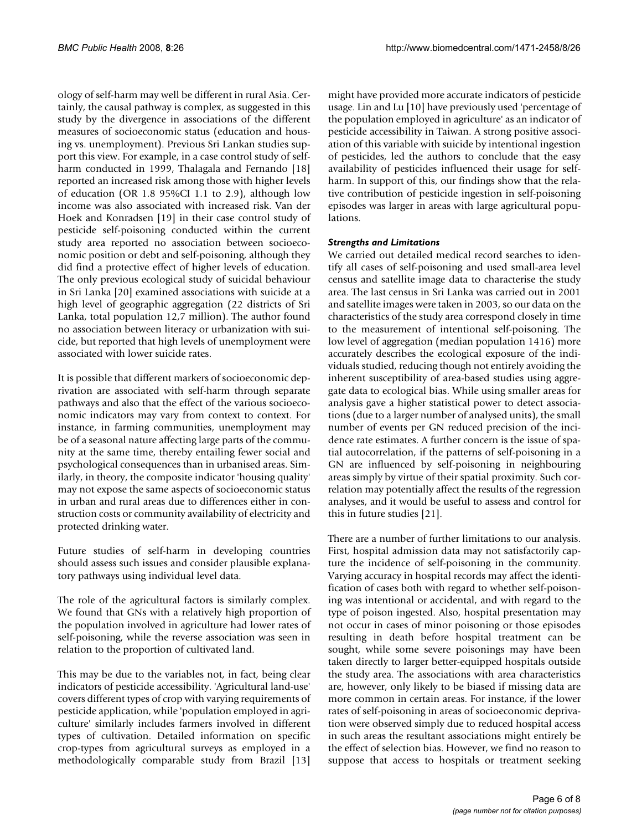ology of self-harm may well be different in rural Asia. Certainly, the causal pathway is complex, as suggested in this study by the divergence in associations of the different measures of socioeconomic status (education and housing vs. unemployment). Previous Sri Lankan studies support this view. For example, in a case control study of selfharm conducted in 1999, Thalagala and Fernando [18] reported an increased risk among those with higher levels of education (OR 1.8 95%CI 1.1 to 2.9), although low income was also associated with increased risk. Van der Hoek and Konradsen [19] in their case control study of pesticide self-poisoning conducted within the current study area reported no association between socioeconomic position or debt and self-poisoning, although they did find a protective effect of higher levels of education. The only previous ecological study of suicidal behaviour in Sri Lanka [20] examined associations with suicide at a high level of geographic aggregation (22 districts of Sri Lanka, total population 12,7 million). The author found no association between literacy or urbanization with suicide, but reported that high levels of unemployment were associated with lower suicide rates.

It is possible that different markers of socioeconomic deprivation are associated with self-harm through separate pathways and also that the effect of the various socioeconomic indicators may vary from context to context. For instance, in farming communities, unemployment may be of a seasonal nature affecting large parts of the community at the same time, thereby entailing fewer social and psychological consequences than in urbanised areas. Similarly, in theory, the composite indicator 'housing quality' may not expose the same aspects of socioeconomic status in urban and rural areas due to differences either in construction costs or community availability of electricity and protected drinking water.

Future studies of self-harm in developing countries should assess such issues and consider plausible explanatory pathways using individual level data.

The role of the agricultural factors is similarly complex. We found that GNs with a relatively high proportion of the population involved in agriculture had lower rates of self-poisoning, while the reverse association was seen in relation to the proportion of cultivated land.

This may be due to the variables not, in fact, being clear indicators of pesticide accessibility. 'Agricultural land-use' covers different types of crop with varying requirements of pesticide application, while 'population employed in agriculture' similarly includes farmers involved in different types of cultivation. Detailed information on specific crop-types from agricultural surveys as employed in a methodologically comparable study from Brazil [13]

might have provided more accurate indicators of pesticide usage. Lin and Lu [10] have previously used 'percentage of the population employed in agriculture' as an indicator of pesticide accessibility in Taiwan. A strong positive association of this variable with suicide by intentional ingestion of pesticides, led the authors to conclude that the easy availability of pesticides influenced their usage for selfharm. In support of this, our findings show that the relative contribution of pesticide ingestion in self-poisoning episodes was larger in areas with large agricultural populations.

#### *Strengths and Limitations*

We carried out detailed medical record searches to identify all cases of self-poisoning and used small-area level census and satellite image data to characterise the study area. The last census in Sri Lanka was carried out in 2001 and satellite images were taken in 2003, so our data on the characteristics of the study area correspond closely in time to the measurement of intentional self-poisoning. The low level of aggregation (median population 1416) more accurately describes the ecological exposure of the individuals studied, reducing though not entirely avoiding the inherent susceptibility of area-based studies using aggregate data to ecological bias. While using smaller areas for analysis gave a higher statistical power to detect associations (due to a larger number of analysed units), the small number of events per GN reduced precision of the incidence rate estimates. A further concern is the issue of spatial autocorrelation, if the patterns of self-poisoning in a GN are influenced by self-poisoning in neighbouring areas simply by virtue of their spatial proximity. Such correlation may potentially affect the results of the regression analyses, and it would be useful to assess and control for this in future studies [21].

There are a number of further limitations to our analysis. First, hospital admission data may not satisfactorily capture the incidence of self-poisoning in the community. Varying accuracy in hospital records may affect the identification of cases both with regard to whether self-poisoning was intentional or accidental, and with regard to the type of poison ingested. Also, hospital presentation may not occur in cases of minor poisoning or those episodes resulting in death before hospital treatment can be sought, while some severe poisonings may have been taken directly to larger better-equipped hospitals outside the study area. The associations with area characteristics are, however, only likely to be biased if missing data are more common in certain areas. For instance, if the lower rates of self-poisoning in areas of socioeconomic deprivation were observed simply due to reduced hospital access in such areas the resultant associations might entirely be the effect of selection bias. However, we find no reason to suppose that access to hospitals or treatment seeking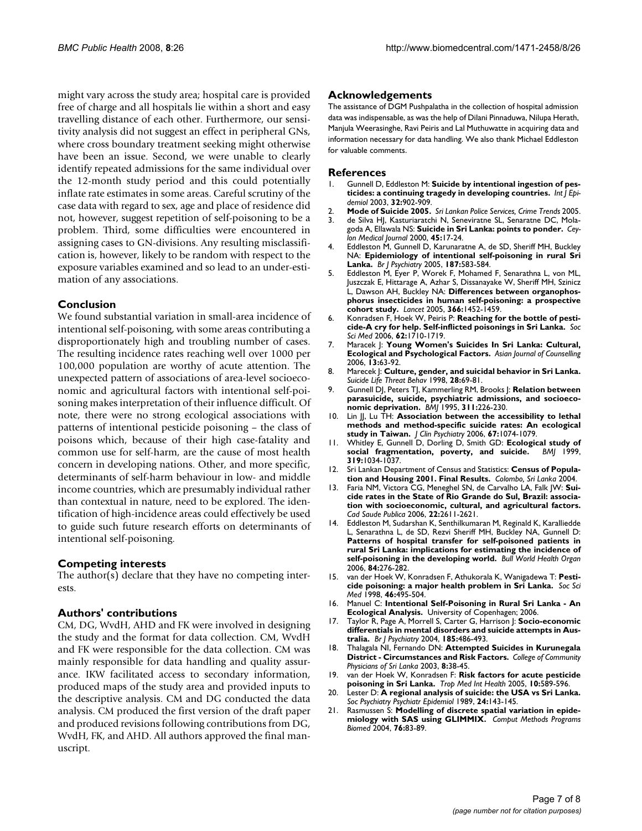might vary across the study area; hospital care is provided free of charge and all hospitals lie within a short and easy travelling distance of each other. Furthermore, our sensitivity analysis did not suggest an effect in peripheral GNs, where cross boundary treatment seeking might otherwise have been an issue. Second, we were unable to clearly identify repeated admissions for the same individual over the 12-month study period and this could potentially inflate rate estimates in some areas. Careful scrutiny of the case data with regard to sex, age and place of residence did not, however, suggest repetition of self-poisoning to be a problem. Third, some difficulties were encountered in assigning cases to GN-divisions. Any resulting misclassification is, however, likely to be random with respect to the exposure variables examined and so lead to an under-estimation of any associations.

#### **Conclusion**

We found substantial variation in small-area incidence of intentional self-poisoning, with some areas contributing a disproportionately high and troubling number of cases. The resulting incidence rates reaching well over 1000 per 100,000 population are worthy of acute attention. The unexpected pattern of associations of area-level socioeconomic and agricultural factors with intentional self-poisoning makes interpretation of their influence difficult. Of note, there were no strong ecological associations with patterns of intentional pesticide poisoning – the class of poisons which, because of their high case-fatality and common use for self-harm, are the cause of most health concern in developing nations. Other, and more specific, determinants of self-harm behaviour in low- and middle income countries, which are presumably individual rather than contextual in nature, need to be explored. The identification of high-incidence areas could effectively be used to guide such future research efforts on determinants of intentional self-poisoning.

#### **Competing interests**

The author(s) declare that they have no competing interests.

#### **Authors' contributions**

CM, DG, WvdH, AHD and FK were involved in designing the study and the format for data collection. CM, WvdH and FK were responsible for the data collection. CM was mainly responsible for data handling and quality assurance. IKW facilitated access to secondary information, produced maps of the study area and provided inputs to the descriptive analysis. CM and DG conducted the data analysis. CM produced the first version of the draft paper and produced revisions following contributions from DG, WvdH, FK, and AHD. All authors approved the final manuscript.

#### **Acknowledgements**

The assistance of DGM Pushpalatha in the collection of hospital admission data was indispensable, as was the help of Dilani Pinnaduwa, Nilupa Herath, Manjula Weerasinghe, Ravi Peiris and Lal Muthuwatte in acquiring data and information necessary for data handling. We also thank Michael Eddleston for valuable comments.

#### **References**

- 1. Gunnell D, Eddleston M: **[Suicide by intentional ingestion of pes](http://www.ncbi.nlm.nih.gov/entrez/query.fcgi?cmd=Retrieve&db=PubMed&dopt=Abstract&list_uids=14681240)[ticides: a continuing tragedy in developing countries.](http://www.ncbi.nlm.nih.gov/entrez/query.fcgi?cmd=Retrieve&db=PubMed&dopt=Abstract&list_uids=14681240)** *Int J Epidemiol* 2003, **32:**902-909.
- 2. **Mode of Suicide 2005.** *Sri Lankan Police Services, Crime Trends* 2005.
- 3. de Silva HJ, Kasturiaratchi N, Seneviratne SL, Senaratne DC, Molagoda A, Ellawala NS: **[Suicide in Sri Lanka: points to ponder.](http://www.ncbi.nlm.nih.gov/entrez/query.fcgi?cmd=Retrieve&db=PubMed&dopt=Abstract&list_uids=11006615)** *Ceylon Medical Journal* 2000, **45:**17-24.
- 4. Eddleston M, Gunnell D, Karunaratne A, de SD, Sheriff MH, Buckley NA: **[Epidemiology of intentional self-poisoning in rural Sri](http://www.ncbi.nlm.nih.gov/entrez/query.fcgi?cmd=Retrieve&db=PubMed&dopt=Abstract&list_uids=16319413) [Lanka.](http://www.ncbi.nlm.nih.gov/entrez/query.fcgi?cmd=Retrieve&db=PubMed&dopt=Abstract&list_uids=16319413)** *Br J Psychiatry* 2005, **187:**583-584.
- Eddleston M, Eyer P, Worek F, Mohamed F, Senarathna L, von ML, Juszczak E, Hittarage A, Azhar S, Dissanayake W, Sheriff MH, Szinicz L, Dawson AH, Buckley NA: **[Differences between organophos](http://www.ncbi.nlm.nih.gov/entrez/query.fcgi?cmd=Retrieve&db=PubMed&dopt=Abstract&list_uids=16243090)[phorus insecticides in human self-poisoning: a prospective](http://www.ncbi.nlm.nih.gov/entrez/query.fcgi?cmd=Retrieve&db=PubMed&dopt=Abstract&list_uids=16243090) [cohort study.](http://www.ncbi.nlm.nih.gov/entrez/query.fcgi?cmd=Retrieve&db=PubMed&dopt=Abstract&list_uids=16243090)** *Lancet* 2005, **366:**1452-1459.
- 6. Konradsen F, Hoek W, Peiris P: **[Reaching for the bottle of pesti](http://www.ncbi.nlm.nih.gov/entrez/query.fcgi?cmd=Retrieve&db=PubMed&dopt=Abstract&list_uids=16165259)[cide-A cry for help. Self-inflicted poisonings in Sri Lanka.](http://www.ncbi.nlm.nih.gov/entrez/query.fcgi?cmd=Retrieve&db=PubMed&dopt=Abstract&list_uids=16165259)** *Soc Sci Med* 2006, **62:**1710-1719.
- 7. Maracek J: **Young Women's Suicides In Sri Lanka: Cultural, Ecological and Psychological Factors.** *Asian Journal of Counselling* 2006, **13:**63-92.
- 8. Marecek J: **[Culture, gender, and suicidal behavior in Sri Lanka.](http://www.ncbi.nlm.nih.gov/entrez/query.fcgi?cmd=Retrieve&db=PubMed&dopt=Abstract&list_uids=9560168)** *Suicide Life Threat Behav* 1998, **28:**69-81.
- 9. Gunnell DJ, Peters TJ, Kammerling RM, Brooks J: **[Relation between](http://www.ncbi.nlm.nih.gov/entrez/query.fcgi?cmd=Retrieve&db=PubMed&dopt=Abstract&list_uids=7627035) [parasuicide, suicide, psychiatric admissions, and socioeco](http://www.ncbi.nlm.nih.gov/entrez/query.fcgi?cmd=Retrieve&db=PubMed&dopt=Abstract&list_uids=7627035)[nomic deprivation.](http://www.ncbi.nlm.nih.gov/entrez/query.fcgi?cmd=Retrieve&db=PubMed&dopt=Abstract&list_uids=7627035)** *BMJ* 1995, **311:**226-230.
- 10. Lin JJ, Lu TH: **[Association between the accessibility to lethal](http://www.ncbi.nlm.nih.gov/entrez/query.fcgi?cmd=Retrieve&db=PubMed&dopt=Abstract&list_uids=16889450) [methods and method-specific suicide rates: An ecological](http://www.ncbi.nlm.nih.gov/entrez/query.fcgi?cmd=Retrieve&db=PubMed&dopt=Abstract&list_uids=16889450) [study in Taiwan.](http://www.ncbi.nlm.nih.gov/entrez/query.fcgi?cmd=Retrieve&db=PubMed&dopt=Abstract&list_uids=16889450)** *J Clin Psychiatry* 2006, **67:**1074-1079.
- 11. Whitley E, Gunnell D, Dorling D, Smith GD: **[Ecological study of](http://www.ncbi.nlm.nih.gov/entrez/query.fcgi?cmd=Retrieve&db=PubMed&dopt=Abstract&list_uids=10521194) [social fragmentation, poverty, and suicide.](http://www.ncbi.nlm.nih.gov/entrez/query.fcgi?cmd=Retrieve&db=PubMed&dopt=Abstract&list_uids=10521194)** *BMJ* 1999, **319:**1034-1037.
- 12. Sri Lankan Department of Census and Statistics: **Census of Population and Housing 2001. Final Results.** *Colombo, Sri Lanka* 2004.
- 13. Faria NM, Victora CG, Meneghel SN, de Carvalho LA, Falk JW: **[Sui](http://www.ncbi.nlm.nih.gov/entrez/query.fcgi?cmd=Retrieve&db=PubMed&dopt=Abstract&list_uids=17096040)[cide rates in the State of Rio Grande do Sul, Brazil: associa](http://www.ncbi.nlm.nih.gov/entrez/query.fcgi?cmd=Retrieve&db=PubMed&dopt=Abstract&list_uids=17096040)tion with socioeconomic, cultural, and agricultural factors.** *Cad Saude Publica* 2006, **22:**2611-2621.
- 14. Eddleston M, Sudarshan K, Senthilkumaran M, Reginald K, Karalliedde L, Senarathna L, de SD, Rezvi Sheriff MH, Buckley NA, Gunnell D: **[Patterns of hospital transfer for self-poisoned patients in](http://www.ncbi.nlm.nih.gov/entrez/query.fcgi?cmd=Retrieve&db=PubMed&dopt=Abstract&list_uids=16628300) rural Sri Lanka: implications for estimating the incidence of [self-poisoning in the developing world.](http://www.ncbi.nlm.nih.gov/entrez/query.fcgi?cmd=Retrieve&db=PubMed&dopt=Abstract&list_uids=16628300)** *Bull World Health Organ* 2006, **84:**276-282.
- 15. van der Hoek W, Konradsen F, Athukorala K, Wanigadewa T: **[Pesti](http://www.ncbi.nlm.nih.gov/entrez/query.fcgi?cmd=Retrieve&db=PubMed&dopt=Abstract&list_uids=9460829)[cide poisoning: a major health problem in Sri Lanka.](http://www.ncbi.nlm.nih.gov/entrez/query.fcgi?cmd=Retrieve&db=PubMed&dopt=Abstract&list_uids=9460829)** *Soc Sci Med* 1998, **46:**495-504.
- 16. Manuel C: **Intentional Self-Poisoning in Rural Sri Lanka An Ecological Analysis.** University of Copenhagen; 2006.
- 17. Taylor R, Page A, Morrell S, Carter G, Harrison J: **[Socio-economic](http://www.ncbi.nlm.nih.gov/entrez/query.fcgi?cmd=Retrieve&db=PubMed&dopt=Abstract&list_uids=15572739) [differentials in mental disorders and suicide attempts in Aus](http://www.ncbi.nlm.nih.gov/entrez/query.fcgi?cmd=Retrieve&db=PubMed&dopt=Abstract&list_uids=15572739)[tralia.](http://www.ncbi.nlm.nih.gov/entrez/query.fcgi?cmd=Retrieve&db=PubMed&dopt=Abstract&list_uids=15572739)** *Br J Psychiatry* 2004, **185:**486-493.
- 18. Thalagala NI, Fernando DN: **Attempted Suicides in Kurunegala District - Circumstances and Risk Factors.** *College of Community Physicians of Sri Lanka* 2003, **8:**38-45.
- 19. van der Hoek W, Konradsen F: **[Risk factors for acute pesticide](http://www.ncbi.nlm.nih.gov/entrez/query.fcgi?cmd=Retrieve&db=PubMed&dopt=Abstract&list_uids=15941423) [poisoning in Sri Lanka.](http://www.ncbi.nlm.nih.gov/entrez/query.fcgi?cmd=Retrieve&db=PubMed&dopt=Abstract&list_uids=15941423)** *Trop Med Int Health* 2005, **10:**589-596.
- 20. Lester D: **[A regional analysis of suicide: the USA vs Sri Lanka.](http://www.ncbi.nlm.nih.gov/entrez/query.fcgi?cmd=Retrieve&db=PubMed&dopt=Abstract&list_uids=2500712)** *Soc Psychiatry Psychiatr Epidemiol* 1989, **24:**143-145.
- 21. Rasmussen S: **[Modelling of discrete spatial variation in epide](http://www.ncbi.nlm.nih.gov/entrez/query.fcgi?cmd=Retrieve&db=PubMed&dopt=Abstract&list_uids=15313544)[miology with SAS using GLIMMIX.](http://www.ncbi.nlm.nih.gov/entrez/query.fcgi?cmd=Retrieve&db=PubMed&dopt=Abstract&list_uids=15313544)** *Comput Methods Programs Biomed* 2004, **76:**83-89.